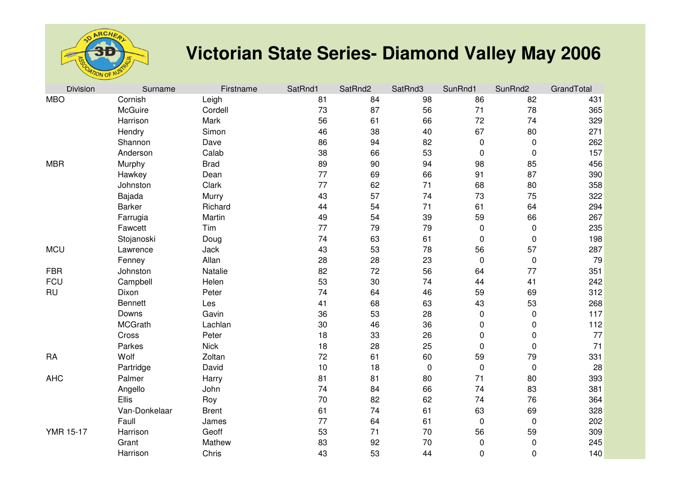

## **Victorian State Series- Diamond Valley May 2006**

| <b>Division</b>  | Surname        | Firstname    | SatRnd1 | SatRnd2 | SatRnd3 | SunRnd1   | SunRnd2   | GrandTotal |
|------------------|----------------|--------------|---------|---------|---------|-----------|-----------|------------|
| <b>MBO</b>       | Cornish        | Leigh        | 81      | 84      | 98      | 86        | 82        | 431        |
|                  | McGuire        | Cordell      | 73      | 87      | 56      | 71        | 78        | 365        |
|                  | Harrison       | Mark         | 56      | 61      | 66      | 72        | 74        | 329        |
|                  | Hendry         | Simon        | 46      | 38      | 40      | 67        | 80        | 271        |
|                  | Shannon        | Dave         | 86      | 94      | 82      | $\pmb{0}$ | 0         | 262        |
|                  | Anderson       | Calab        | 38      | 66      | 53      | $\pmb{0}$ | 0         | 157        |
| <b>MBR</b>       | Murphy         | <b>Brad</b>  | 89      | 90      | 94      | 98        | 85        | 456        |
|                  | Hawkey         | Dean         | 77      | 69      | 66      | 91        | 87        | 390        |
|                  | Johnston       | Clark        | 77      | 62      | 71      | 68        | 80        | 358        |
|                  | Bajada         | Murry        | 43      | 57      | 74      | 73        | 75        | 322        |
|                  | <b>Barker</b>  | Richard      | 44      | 54      | 71      | 61        | 64        | 294        |
|                  | Farrugia       | Martin       | 49      | 54      | 39      | 59        | 66        | 267        |
|                  | Fawcett        | Tim          | 77      | 79      | 79      | $\pmb{0}$ | 0         | 235        |
|                  | Stojanoski     | Doug         | 74      | 63      | 61      | 0         | 0         | 198        |
| <b>MCU</b>       | Lawrence       | Jack         | 43      | 53      | 78      | 56        | 57        | 287        |
|                  | Fenney         | Allan        | 28      | 28      | 23      | $\pmb{0}$ | $\pmb{0}$ | 79         |
| <b>FBR</b>       | Johnston       | Natalie      | 82      | 72      | 56      | 64        | 77        | 351        |
| <b>FCU</b>       | Campbell       | Helen        | 53      | 30      | 74      | 44        | 41        | 242        |
| <b>RU</b>        | Dixon          | Peter        | 74      | 64      | 46      | 59        | 69        | 312        |
|                  | <b>Bennett</b> | Les          | 41      | 68      | 63      | 43        | 53        | 268        |
|                  | Downs          | Gavin        | 36      | 53      | 28      | $\pmb{0}$ | 0         | 117        |
|                  | <b>MCGrath</b> | Lachlan      | 30      | 46      | 36      | $\pmb{0}$ | 0         | 112        |
|                  | Cross          | Peter        | 18      | 33      | 26      | 0         | 0         | 77         |
|                  | Parkes         | <b>Nick</b>  | 18      | 28      | 25      | $\pmb{0}$ | $\pmb{0}$ | 71         |
| <b>RA</b>        | Wolf           | Zoltan       | 72      | 61      | 60      | 59        | 79        | 331        |
|                  | Partridge      | David        | 10      | 18      | 0       | $\pmb{0}$ | $\pmb{0}$ | 28         |
| <b>AHC</b>       | Palmer         | Harry        | 81      | 81      | 80      | 71        | 80        | 393        |
|                  | Angello        | John         | 74      | 84      | 66      | 74        | 83        | 381        |
|                  | Ellis          | Roy          | 70      | 82      | 62      | 74        | 76        | 364        |
|                  | Van-Donkelaar  | <b>Brent</b> | 61      | 74      | 61      | 63        | 69        | 328        |
|                  | Faull          | James        | 77      | 64      | 61      | $\pmb{0}$ | $\pmb{0}$ | 202        |
| <b>YMR 15-17</b> | Harrison       | Geoff        | 53      | 71      | 70      | 56        | 59        | 309        |
|                  | Grant          | Mathew       | 83      | 92      | 70      | $\pmb{0}$ | 0         | 245        |
|                  | Harrison       | Chris        | 43      | 53      | 44      | $\pmb{0}$ | 0         | 140        |